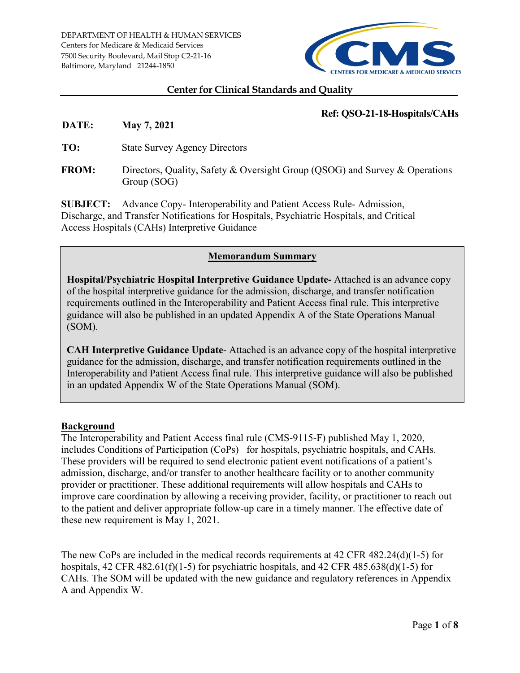

#### **Center for Clinical Standards and Quality**

### **Ref: QSO-21-18-Hospitals/CAHs**

**DATE: May 7, 2021**

**TO:** State Survey Agency Directors

**FROM:** Directors, Quality, Safety & Oversight Group (QSOG) and Survey & Operations Group (SOG)

**SUBJECT:** Advance Copy- Interoperability and Patient Access Rule- Admission, Discharge, and Transfer Notifications for Hospitals, Psychiatric Hospitals, and Critical Access Hospitals (CAHs) Interpretive Guidance

### **Memorandum Summary**

**Hospital/Psychiatric Hospital Interpretive Guidance Update-** Attached is an advance copy of the hospital interpretive guidance for the admission, discharge, and transfer notification requirements outlined in the Interoperability and Patient Access final rule. This interpretive guidance will also be published in an updated Appendix A of the State Operations Manual (SOM).

**CAH Interpretive Guidance Update**- Attached is an advance copy of the hospital interpretive guidance for the admission, discharge, and transfer notification requirements outlined in the Interoperability and Patient Access final rule. This interpretive guidance will also be published in an updated Appendix W of the State Operations Manual (SOM).

#### **Background**

The Interoperability and Patient Access final rule (CMS-9115-F) published May 1, 2020, includes Conditions of Participation (CoPs) for hospitals, psychiatric hospitals, and CAHs. These providers will be required to send electronic patient event notifications of a patient's admission, discharge, and/or transfer to another healthcare facility or to another community provider or practitioner. These additional requirements will allow hospitals and CAHs to improve care coordination by allowing a receiving provider, facility, or practitioner to reach out to the patient and deliver appropriate follow-up care in a timely manner. The effective date of these new requirement is May 1, 2021.

The new CoPs are included in the medical records requirements at 42 CFR 482.24(d)(1-5) for hospitals, 42 CFR 482.61(f)(1-5) for psychiatric hospitals, and 42 CFR 485.638(d)(1-5) for CAHs. The SOM will be updated with the new guidance and regulatory references in Appendix A and Appendix W.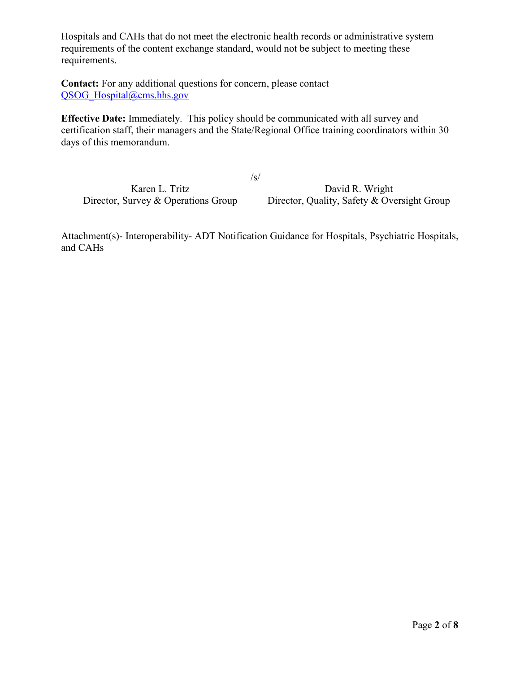Hospitals and CAHs that do not meet the electronic health records or administrative system requirements of the content exchange standard, would not be subject to meeting these requirements.

**Contact:** For any additional questions for concern, please contact [QSOG\\_Hospital@cms.hhs.gov](mailto:QSOG_Hospital@cms.hhs.gov)

**Effective Date:** Immediately. This policy should be communicated with all survey and certification staff, their managers and the State/Regional Office training coordinators within 30 days of this memorandum.

/s/

Karen L. Tritz David R. Wright Director, Survey & Operations Group Director, Quality, Safety & Oversight Group

Attachment(s)- Interoperability- ADT Notification Guidance for Hospitals, Psychiatric Hospitals, and CAHs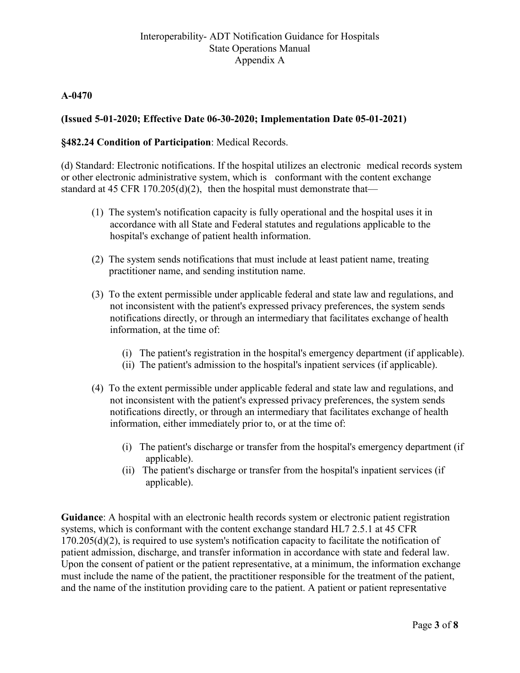### **A-0470**

# **(Issued 5-01-2020; Effective Date 06-30-2020; Implementation Date 05-01-2021)**

### **§482.24 Condition of Participation**: Medical Records.

(d) Standard: Electronic notifications. If the hospital utilizes an electronic medical records system or other electronic administrative system, which is conformant with the content exchange standard at 45 CFR 170.205(d)(2), then the hospital must demonstrate that—

- (1) The system's notification capacity is fully operational and the hospital uses it in accordance with all State and Federal statutes and regulations applicable to the hospital's exchange of patient health information.
- (2) The system sends notifications that must include at least patient name, treating practitioner name, and sending institution name.
- (3) To the extent permissible under applicable federal and state law and regulations, and not inconsistent with the patient's expressed privacy preferences, the system sends notifications directly, or through an intermediary that facilitates exchange of health information, at the time of:
	- (i) The patient's registration in the hospital's emergency department (if applicable).
	- (ii) The patient's admission to the hospital's inpatient services (if applicable).
- (4) To the extent permissible under applicable federal and state law and regulations, and not inconsistent with the patient's expressed privacy preferences, the system sends notifications directly, or through an intermediary that facilitates exchange of health information, either immediately prior to, or at the time of:
	- (i) The patient's discharge or transfer from the hospital's emergency department (if applicable).
	- (ii) The patient's discharge or transfer from the hospital's inpatient services (if applicable).

**Guidance**: A hospital with an electronic health records system or electronic patient registration systems, which is conformant with the content exchange standard HL7 2.5.1 at 45 CFR 170.205(d)(2), is required to use system's notification capacity to facilitate the notification of patient admission, discharge, and transfer information in accordance with state and federal law. Upon the consent of patient or the patient representative, at a minimum, the information exchange must include the name of the patient, the practitioner responsible for the treatment of the patient, and the name of the institution providing care to the patient. A patient or patient representative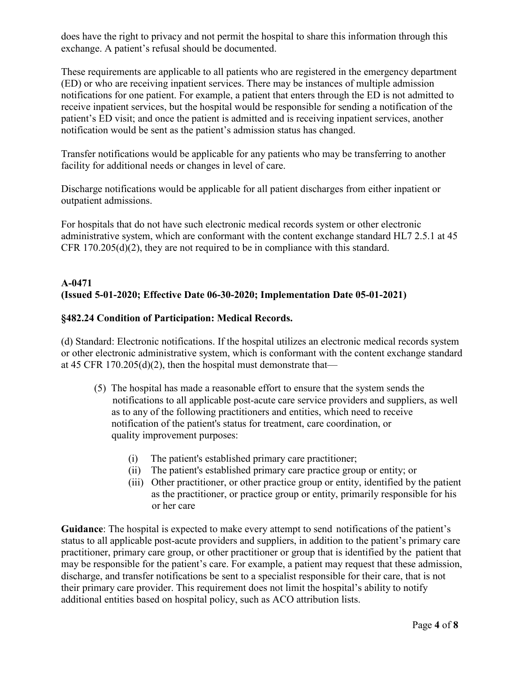does have the right to privacy and not permit the hospital to share this information through this exchange. A patient's refusal should be documented.

These requirements are applicable to all patients who are registered in the emergency department (ED) or who are receiving inpatient services. There may be instances of multiple admission notifications for one patient. For example, a patient that enters through the ED is not admitted to receive inpatient services, but the hospital would be responsible for sending a notification of the patient's ED visit; and once the patient is admitted and is receiving inpatient services, another notification would be sent as the patient's admission status has changed.

Transfer notifications would be applicable for any patients who may be transferring to another facility for additional needs or changes in level of care.

Discharge notifications would be applicable for all patient discharges from either inpatient or outpatient admissions.

For hospitals that do not have such electronic medical records system or other electronic administrative system, which are conformant with the content exchange standard HL7 2.5.1 at 45 CFR 170.205(d)(2), they are not required to be in compliance with this standard.

# **A-0471 (Issued 5-01-2020; Effective Date 06-30-2020; Implementation Date 05-01-2021)**

### **§482.24 Condition of Participation: Medical Records.**

(d) Standard: Electronic notifications. If the hospital utilizes an electronic medical records system or other electronic administrative system, which is conformant with the content exchange standard at 45 CFR 170.205(d)(2), then the hospital must demonstrate that—

- (5) The hospital has made a reasonable effort to ensure that the system sends the notifications to all applicable post-acute care service providers and suppliers, as well as to any of the following practitioners and entities, which need to receive notification of the patient's status for treatment, care coordination, or quality improvement purposes:
	- (i) The patient's established primary care practitioner;
	- (ii) The patient's established primary care practice group or entity; or
	- (iii) Other practitioner, or other practice group or entity, identified by the patient as the practitioner, or practice group or entity, primarily responsible for his or her care

**Guidance**: The hospital is expected to make every attempt to send notifications of the patient's status to all applicable post-acute providers and suppliers, in addition to the patient's primary care practitioner, primary care group, or other practitioner or group that is identified by the patient that may be responsible for the patient's care. For example, a patient may request that these admission, discharge, and transfer notifications be sent to a specialist responsible for their care, that is not their primary care provider. This requirement does not limit the hospital's ability to notify additional entities based on hospital policy, such as ACO attribution lists.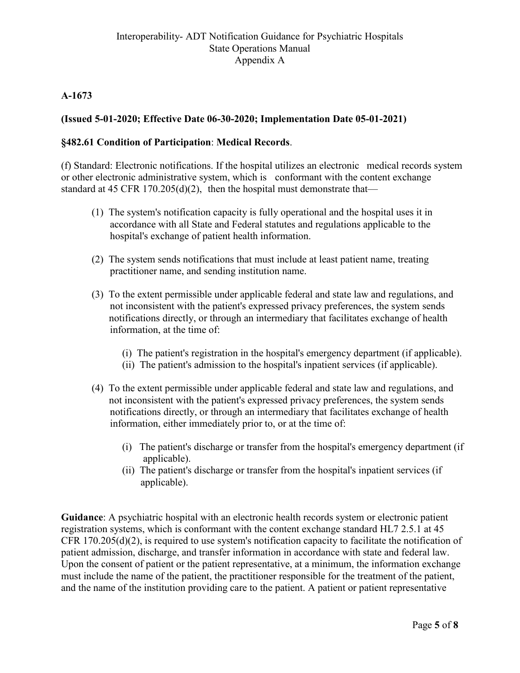# **A-1673**

# **(Issued 5-01-2020; Effective Date 06-30-2020; Implementation Date 05-01-2021)**

### **§482.61 Condition of Participation**: **Medical Records**.

(f) Standard: Electronic notifications. If the hospital utilizes an electronic medical records system or other electronic administrative system, which is conformant with the content exchange standard at 45 CFR 170.205(d)(2), then the hospital must demonstrate that—

- (1) The system's notification capacity is fully operational and the hospital uses it in accordance with all State and Federal statutes and regulations applicable to the hospital's exchange of patient health information.
- (2) The system sends notifications that must include at least patient name, treating practitioner name, and sending institution name.
- (3) To the extent permissible under applicable federal and state law and regulations, and not inconsistent with the patient's expressed privacy preferences, the system sends notifications directly, or through an intermediary that facilitates exchange of health information, at the time of:
	- (i) The patient's registration in the hospital's emergency department (if applicable).
	- (ii) The patient's admission to the hospital's inpatient services (if applicable).
- (4) To the extent permissible under applicable federal and state law and regulations, and not inconsistent with the patient's expressed privacy preferences, the system sends notifications directly, or through an intermediary that facilitates exchange of health information, either immediately prior to, or at the time of:
	- (i) The patient's discharge or transfer from the hospital's emergency department (if applicable).
	- (ii) The patient's discharge or transfer from the hospital's inpatient services (if applicable).

**Guidance**: A psychiatric hospital with an electronic health records system or electronic patient registration systems, which is conformant with the content exchange standard HL7 2.5.1 at 45 CFR 170.205(d)(2), is required to use system's notification capacity to facilitate the notification of patient admission, discharge, and transfer information in accordance with state and federal law. Upon the consent of patient or the patient representative, at a minimum, the information exchange must include the name of the patient, the practitioner responsible for the treatment of the patient, and the name of the institution providing care to the patient. A patient or patient representative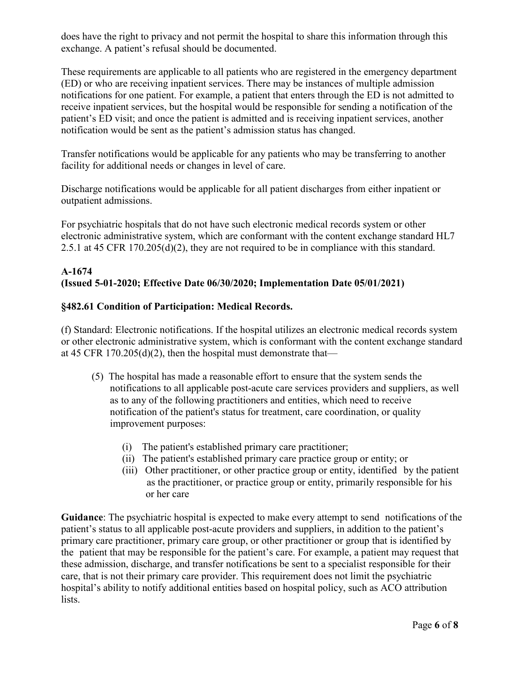does have the right to privacy and not permit the hospital to share this information through this exchange. A patient's refusal should be documented.

These requirements are applicable to all patients who are registered in the emergency department (ED) or who are receiving inpatient services. There may be instances of multiple admission notifications for one patient. For example, a patient that enters through the ED is not admitted to receive inpatient services, but the hospital would be responsible for sending a notification of the patient's ED visit; and once the patient is admitted and is receiving inpatient services, another notification would be sent as the patient's admission status has changed.

Transfer notifications would be applicable for any patients who may be transferring to another facility for additional needs or changes in level of care.

Discharge notifications would be applicable for all patient discharges from either inpatient or outpatient admissions.

For psychiatric hospitals that do not have such electronic medical records system or other electronic administrative system, which are conformant with the content exchange standard HL7 2.5.1 at 45 CFR 170.205(d)(2), they are not required to be in compliance with this standard.

### **A-1674 (Issued 5-01-2020; Effective Date 06/30/2020; Implementation Date 05/01/2021)**

### **§482.61 Condition of Participation: Medical Records.**

(f) Standard: Electronic notifications. If the hospital utilizes an electronic medical records system or other electronic administrative system, which is conformant with the content exchange standard at 45 CFR 170.205(d)(2), then the hospital must demonstrate that—

- (5) The hospital has made a reasonable effort to ensure that the system sends the notifications to all applicable post-acute care services providers and suppliers, as well as to any of the following practitioners and entities, which need to receive notification of the patient's status for treatment, care coordination, or quality improvement purposes:
	- (i) The patient's established primary care practitioner;
	- (ii) The patient's established primary care practice group or entity; or
	- (iii) Other practitioner, or other practice group or entity, identified by the patient as the practitioner, or practice group or entity, primarily responsible for his or her care

**Guidance**: The psychiatric hospital is expected to make every attempt to send notifications of the patient's status to all applicable post-acute providers and suppliers, in addition to the patient's primary care practitioner, primary care group, or other practitioner or group that is identified by the patient that may be responsible for the patient's care. For example, a patient may request that these admission, discharge, and transfer notifications be sent to a specialist responsible for their care, that is not their primary care provider. This requirement does not limit the psychiatric hospital's ability to notify additional entities based on hospital policy, such as ACO attribution lists.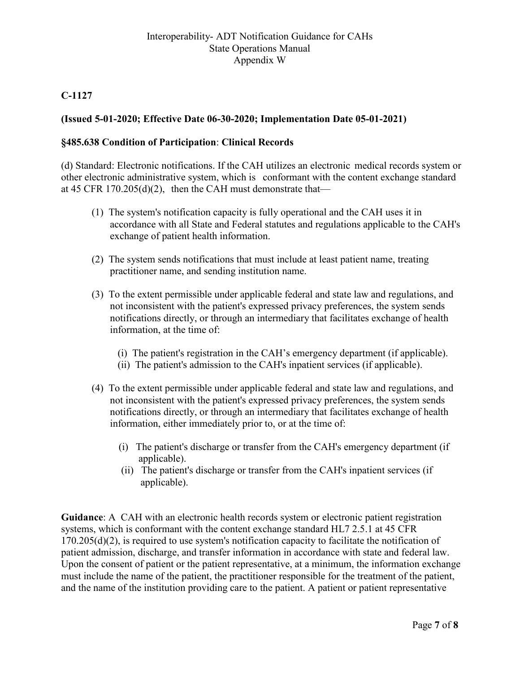# **C-1127**

# **(Issued 5-01-2020; Effective Date 06-30-2020; Implementation Date 05-01-2021)**

### **§485.638 Condition of Participation**: **Clinical Records**

(d) Standard: Electronic notifications. If the CAH utilizes an electronic medical records system or other electronic administrative system, which is conformant with the content exchange standard at 45 CFR 170.205(d)(2), then the CAH must demonstrate that—

- (1) The system's notification capacity is fully operational and the CAH uses it in accordance with all State and Federal statutes and regulations applicable to the CAH's exchange of patient health information.
- (2) The system sends notifications that must include at least patient name, treating practitioner name, and sending institution name.
- (3) To the extent permissible under applicable federal and state law and regulations, and not inconsistent with the patient's expressed privacy preferences, the system sends notifications directly, or through an intermediary that facilitates exchange of health information, at the time of:
	- (i) The patient's registration in the CAH's emergency department (if applicable).
	- (ii) The patient's admission to the CAH's inpatient services (if applicable).
- (4) To the extent permissible under applicable federal and state law and regulations, and not inconsistent with the patient's expressed privacy preferences, the system sends notifications directly, or through an intermediary that facilitates exchange of health information, either immediately prior to, or at the time of:
	- (i) The patient's discharge or transfer from the CAH's emergency department (if applicable).
	- (ii) The patient's discharge or transfer from the CAH's inpatient services (if applicable).

**Guidance**: A CAH with an electronic health records system or electronic patient registration systems, which is conformant with the content exchange standard HL7 2.5.1 at 45 CFR 170.205(d)(2), is required to use system's notification capacity to facilitate the notification of patient admission, discharge, and transfer information in accordance with state and federal law. Upon the consent of patient or the patient representative, at a minimum, the information exchange must include the name of the patient, the practitioner responsible for the treatment of the patient, and the name of the institution providing care to the patient. A patient or patient representative